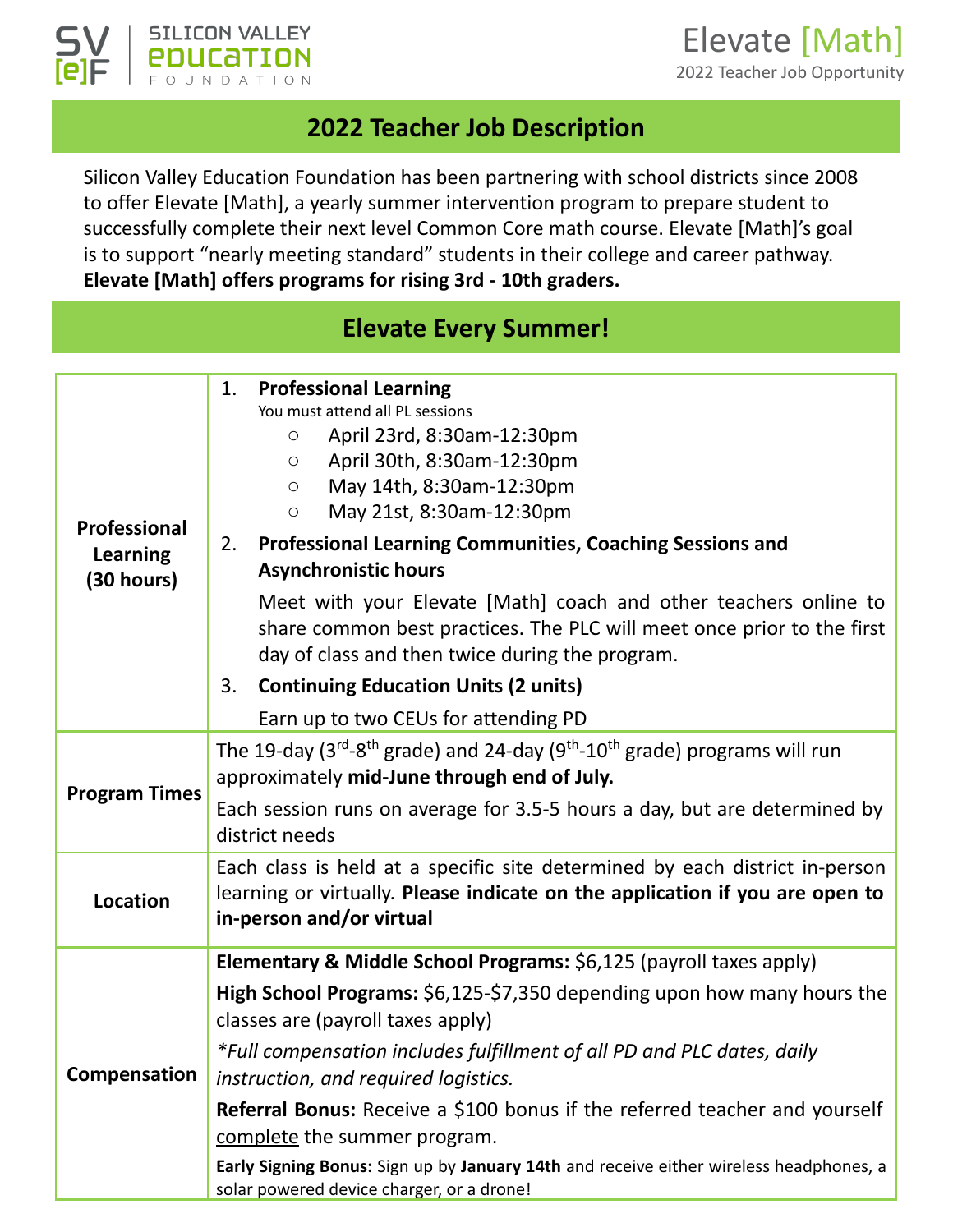



#### **2022 Teacher Job Description**

Silicon Valley Education Foundation has been partnering with school districts since 2008 to offer Elevate [Math], a yearly summer intervention program to prepare student to successfully complete their next level Common Core math course. Elevate [Math]'s goal is to support "nearly meeting standard" students in their college and career pathway. **Elevate [Math] offers programs for rising 3rd - 10th graders.** 

## **Elevate Every Summer!**

| <b>Professional</b><br><b>Learning</b><br>(30 hours) | <b>Professional Learning</b><br>1.<br>You must attend all PL sessions<br>April 23rd, 8:30am-12:30pm<br>O                                                                                      |  |
|------------------------------------------------------|-----------------------------------------------------------------------------------------------------------------------------------------------------------------------------------------------|--|
|                                                      | April 30th, 8:30am-12:30pm<br>$\circ$                                                                                                                                                         |  |
|                                                      | May 14th, 8:30am-12:30pm<br>$\bigcirc$                                                                                                                                                        |  |
|                                                      | May 21st, 8:30am-12:30pm<br>$\circ$                                                                                                                                                           |  |
|                                                      | <b>Professional Learning Communities, Coaching Sessions and</b><br>2.                                                                                                                         |  |
|                                                      | <b>Asynchronistic hours</b>                                                                                                                                                                   |  |
|                                                      | Meet with your Elevate [Math] coach and other teachers online to<br>share common best practices. The PLC will meet once prior to the first<br>day of class and then twice during the program. |  |
|                                                      | <b>Continuing Education Units (2 units)</b><br>3.                                                                                                                                             |  |
|                                                      | Earn up to two CEUs for attending PD                                                                                                                                                          |  |
| <b>Program Times</b>                                 | The 19-day ( $3^{rd}$ - $8^{th}$ grade) and 24-day ( $9^{th}$ -10 <sup>th</sup> grade) programs will run<br>approximately mid-June through end of July.                                       |  |
|                                                      | Each session runs on average for 3.5-5 hours a day, but are determined by<br>district needs                                                                                                   |  |
| <b>Location</b>                                      | Each class is held at a specific site determined by each district in-person                                                                                                                   |  |
|                                                      | learning or virtually. Please indicate on the application if you are open to<br>in-person and/or virtual                                                                                      |  |
| Compensation                                         | Elementary & Middle School Programs: \$6,125 (payroll taxes apply)                                                                                                                            |  |
|                                                      | High School Programs: \$6,125-\$7,350 depending upon how many hours the<br>classes are (payroll taxes apply)                                                                                  |  |
|                                                      | *Full compensation includes fulfillment of all PD and PLC dates, daily<br>instruction, and required logistics.                                                                                |  |
|                                                      | <b>Referral Bonus:</b> Receive a \$100 bonus if the referred teacher and yourself<br>complete the summer program.                                                                             |  |
|                                                      | Early Signing Bonus: Sign up by January 14th and receive either wireless headphones, a<br>solar powered device charger, or a drone!                                                           |  |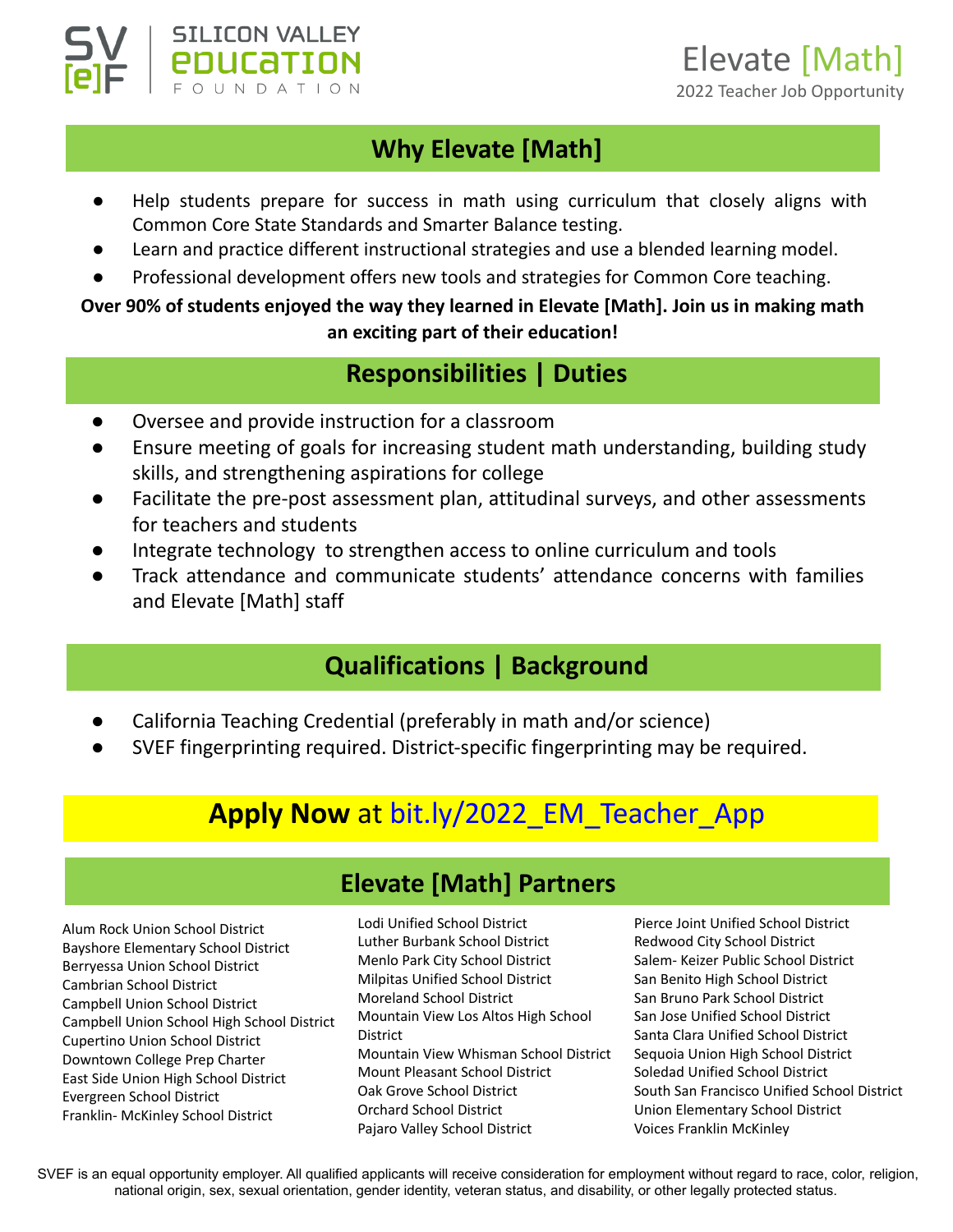

## **Why Elevate [Math]**

- Help students prepare for success in math using curriculum that closely aligns with Common Core State Standards and Smarter Balance testing.
- Learn and practice different instructional strategies and use a blended learning model.
- Professional development offers new tools and strategies for Common Core teaching.

#### **Over 90% of students enjoyed the way they learned in Elevate [Math]. Join us in making math an exciting part of their education!**

## **Responsibilities | Duties**

Oversee and provide instruction for a classroom

**SILICON VALLEY** POUCATION

- Ensure meeting of goals for increasing student math understanding, building study skills, and strengthening aspirations for college
- Facilitate the pre-post assessment plan, attitudinal surveys, and other assessments for teachers and students
- Integrate technology to strengthen access to online curriculum and tools
- Track attendance and communicate students' attendance concerns with families and Elevate [Math] staff

## **Qualifications | Background**

- California Teaching Credential (preferably in math and/or science)
- SVEF fingerprinting required. District-specific fingerprinting may be required.

# **Apply Now** at [bit.ly/2022\\_EM\\_Teacher\\_App](https://bit.ly/2022_EM_Teacher_App)

#### **Elevate [Math] Partners**

Alum Rock Union School District Bayshore Elementary School District Berryessa Union School District Cambrian School District Campbell Union School District Campbell Union School High School District Cupertino Union School District Downtown College Prep Charter East Side Union High School District Evergreen School District Franklin- McKinley School District

Lodi Unified School District Luther Burbank School District Menlo Park City School District Milpitas Unified School District Moreland School District Mountain View Los Altos High School District Mountain View Whisman School District Mount Pleasant School District Oak Grove School District Orchard School District Pajaro Valley School District

Pierce Joint Unified School District Redwood City School District Salem- Keizer Public School District San Benito High School District San Bruno Park School District San Jose Unified School District Santa Clara Unified School District Sequoia Union High School District Soledad Unified School District South San Francisco Unified School District Union Elementary School District Voices Franklin McKinley

SVEF is an equal opportunity employer. All qualified applicants will receive consideration for employment without regard to race, color, religion, national origin, sex, sexual orientation, gender identity, veteran status, and disability, or other legally protected status.